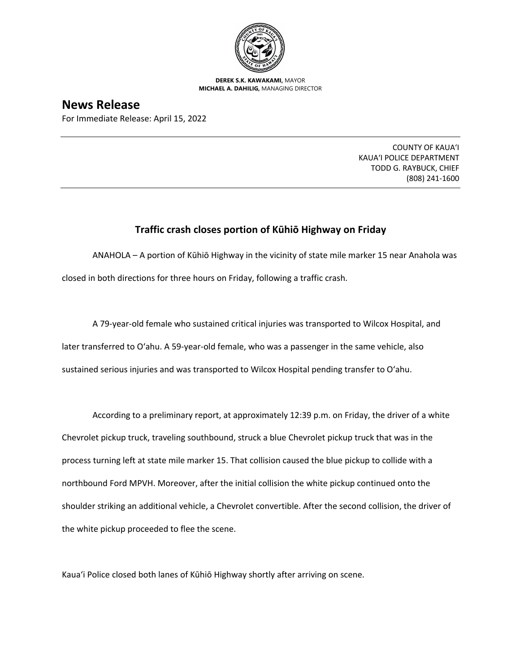

**DEREK S.K. KAWAKAMI,** MAYOR **MICHAEL A. DAHILIG,** MANAGING DIRECTOR

## **News Release**

For Immediate Release: April 15, 2022

COUNTY OF KAUA'I KAUA'I POLICE DEPARTMENT TODD G. RAYBUCK, CHIEF (808) 241-1600

## **Traffic crash closes portion of Kūhiō Highway on Friday**

ANAHOLA – A portion of Kūhiō Highway in the vicinity of state mile marker 15 near Anahola was closed in both directions for three hours on Friday, following a traffic crash.

A 79-year-old female who sustained critical injuries was transported to Wilcox Hospital, and later transferred to O'ahu. A 59-year-old female, who was a passenger in the same vehicle, also sustained serious injuries and was transported to Wilcox Hospital pending transfer to O'ahu.

According to a preliminary report, at approximately 12:39 p.m. on Friday, the driver of a white Chevrolet pickup truck, traveling southbound, struck a blue Chevrolet pickup truck that was in the process turning left at state mile marker 15. That collision caused the blue pickup to collide with a northbound Ford MPVH. Moreover, after the initial collision the white pickup continued onto the shoulder striking an additional vehicle, a Chevrolet convertible. After the second collision, the driver of the white pickup proceeded to flee the scene.

Kaua'i Police closed both lanes of Kūhiō Highway shortly after arriving on scene.